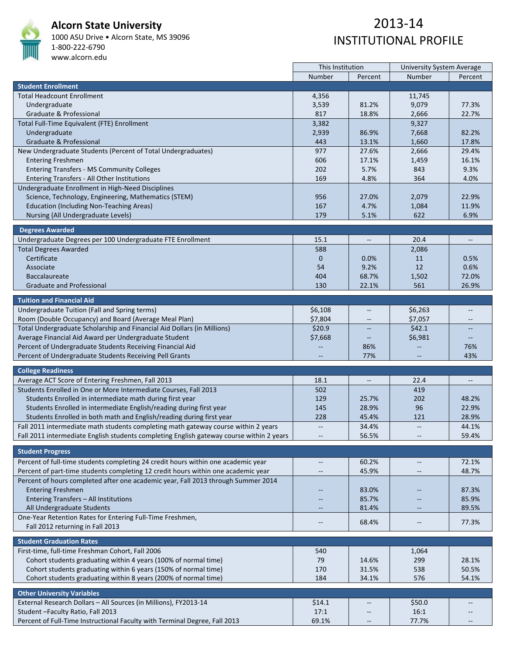

#### **Alcorn State University**

1000 ASU Drive • Alcorn State, MS 39096 1‐800‐222‐6790 www.alcorn.edu

|                                                                                          | This Institution         |                          | <b>University System Average</b> |                          |
|------------------------------------------------------------------------------------------|--------------------------|--------------------------|----------------------------------|--------------------------|
|                                                                                          | Number                   | Percent                  | Number                           | Percent                  |
| <b>Student Enrollment</b>                                                                |                          |                          |                                  |                          |
| <b>Total Headcount Enrollment</b>                                                        | 4,356                    |                          | 11,745                           |                          |
| Undergraduate                                                                            | 3,539                    | 81.2%                    | 9,079                            | 77.3%                    |
| Graduate & Professional                                                                  | 817                      | 18.8%                    | 2,666                            | 22.7%                    |
| Total Full-Time Equivalent (FTE) Enrollment                                              | 3,382                    |                          | 9,327                            |                          |
| Undergraduate                                                                            | 2,939                    | 86.9%                    | 7,668                            | 82.2%                    |
| Graduate & Professional                                                                  | 443                      | 13.1%                    | 1,660                            | 17.8%                    |
| New Undergraduate Students (Percent of Total Undergraduates)                             | 977                      | 27.6%                    | 2,666                            | 29.4%                    |
| <b>Entering Freshmen</b>                                                                 | 606                      | 17.1%                    | 1,459                            | 16.1%                    |
| <b>Entering Transfers - MS Community Colleges</b>                                        | 202                      | 5.7%                     | 843                              | 9.3%                     |
| Entering Transfers - All Other Institutions                                              | 169                      | 4.8%                     | 364                              | 4.0%                     |
| Undergraduate Enrollment in High-Need Disciplines                                        |                          |                          |                                  |                          |
| Science, Technology, Engineering, Mathematics (STEM)                                     | 956                      | 27.0%                    | 2,079                            | 22.9%                    |
| <b>Education (Including Non-Teaching Areas)</b>                                          | 167                      | 4.7%                     | 1,084                            | 11.9%                    |
| Nursing (All Undergraduate Levels)                                                       | 179                      | 5.1%                     | 622                              | 6.9%                     |
|                                                                                          |                          |                          |                                  |                          |
| <b>Degrees Awarded</b>                                                                   |                          |                          |                                  |                          |
| Undergraduate Degrees per 100 Undergraduate FTE Enrollment                               | 15.1                     | $\overline{\phantom{a}}$ | 20.4                             | $\overline{\phantom{a}}$ |
| <b>Total Degrees Awarded</b>                                                             | 588                      |                          | 2,086                            |                          |
| Certificate                                                                              | $\mathbf{0}$             | 0.0%                     | 11                               | 0.5%                     |
| Associate                                                                                | 54                       | 9.2%                     | 12                               | 0.6%                     |
| <b>Baccalaureate</b>                                                                     | 404                      | 68.7%                    | 1,502                            | 72.0%                    |
| <b>Graduate and Professional</b>                                                         | 130                      | 22.1%                    | 561                              | 26.9%                    |
|                                                                                          |                          |                          |                                  |                          |
| <b>Tuition and Financial Aid</b>                                                         |                          |                          |                                  |                          |
| Undergraduate Tuition (Fall and Spring terms)                                            | \$6,108                  |                          | \$6,263                          |                          |
| Room (Double Occupancy) and Board (Average Meal Plan)                                    | \$7,804                  | $\overline{\phantom{m}}$ | \$7,057                          | $\overline{\phantom{a}}$ |
| Total Undergraduate Scholarship and Financial Aid Dollars (in Millions)                  | \$20.9                   |                          | \$42.1                           | $\overline{a}$           |
| Average Financial Aid Award per Undergraduate Student                                    | \$7,668                  |                          | \$6,981                          |                          |
| Percent of Undergraduate Students Receiving Financial Aid                                |                          | 86%                      |                                  | 76%                      |
| Percent of Undergraduate Students Receiving Pell Grants                                  |                          | 77%                      | --                               | 43%                      |
| <b>College Readiness</b>                                                                 |                          |                          |                                  |                          |
| Average ACT Score of Entering Freshmen, Fall 2013                                        | 18.1                     |                          | 22.4                             |                          |
| Students Enrolled in One or More Intermediate Courses, Fall 2013                         | 502                      |                          | 419                              |                          |
| Students Enrolled in intermediate math during first year                                 | 129                      | 25.7%                    | 202                              | 48.2%                    |
| Students Enrolled in intermediate English/reading during first year                      | 145                      | 28.9%                    | 96                               | 22.9%                    |
| Students Enrolled in both math and English/reading during first year                     | 228                      | 45.4%                    | 121                              | 28.9%                    |
| Fall 2011 intermediate math students completing math gateway course within 2 years       | $\overline{\phantom{a}}$ | 34.4%                    | $\overline{\phantom{m}}$         | 44.1%                    |
| Fall 2011 intermediate English students completing English gateway course within 2 years | $\overline{\phantom{m}}$ | 56.5%                    | --                               | 59.4%                    |
|                                                                                          |                          |                          |                                  |                          |
| <b>Student Progress</b>                                                                  |                          |                          |                                  |                          |
| Percent of full-time students completing 24 credit hours within one academic year        | $\overline{\phantom{a}}$ | 60.2%                    | $\overline{\phantom{m}}$         | 72.1%                    |
| Percent of part-time students completing 12 credit hours within one academic year        | $\overline{\phantom{m}}$ | 45.9%                    |                                  | 48.7%                    |
| Percent of hours completed after one academic year, Fall 2013 through Summer 2014        |                          |                          |                                  |                          |
| <b>Entering Freshmen</b>                                                                 |                          | 83.0%                    |                                  | 87.3%                    |
| Entering Transfers - All Institutions                                                    |                          | 85.7%                    |                                  | 85.9%                    |
| All Undergraduate Students                                                               |                          | 81.4%                    |                                  | 89.5%                    |
|                                                                                          |                          |                          |                                  |                          |
| One-Year Retention Rates for Entering Full-Time Freshmen,                                | $\overline{\phantom{m}}$ | 68.4%                    | $-\!$                            | 77.3%                    |
| Fall 2012 returning in Fall 2013                                                         |                          |                          |                                  |                          |
| <b>Student Graduation Rates</b>                                                          |                          |                          |                                  |                          |
| First-time, full-time Freshman Cohort, Fall 2006                                         | 540                      |                          | 1,064                            |                          |
| Cohort students graduating within 4 years (100% of normal time)                          | 79                       | 14.6%                    | 299                              | 28.1%                    |
| Cohort students graduating within 6 years (150% of normal time)                          | 170                      | 31.5%                    | 538                              | 50.5%                    |
| Cohort students graduating within 8 years (200% of normal time)                          | 184                      | 34.1%                    | 576                              | 54.1%                    |
|                                                                                          |                          |                          |                                  |                          |
| <b>Other University Variables</b>                                                        |                          |                          |                                  |                          |
| External Research Dollars - All Sources (in Millions), FY2013-14                         | \$14.1                   |                          | \$50.0                           |                          |
| Student-Faculty Ratio, Fall 2013                                                         | 17:1                     |                          | 16:1                             |                          |
| Percent of Full-Time Instructional Faculty with Terminal Degree, Fall 2013               | 69.1%                    | $\overline{\phantom{m}}$ | 77.7%                            | $\overline{\phantom{a}}$ |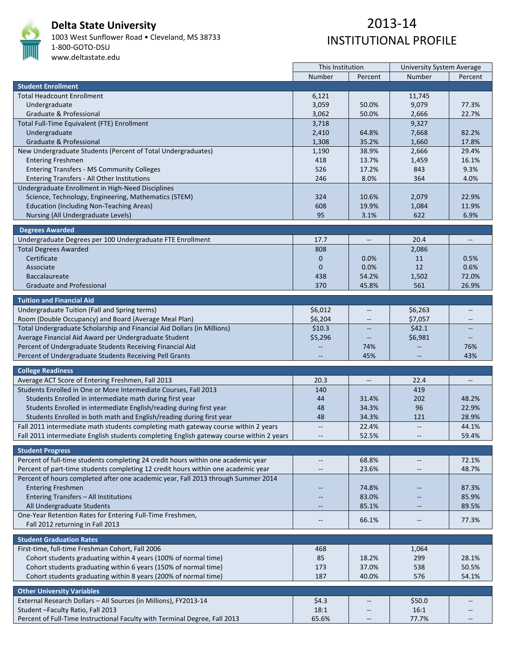

# **Delta State University**

1003 West Sunflower Road • Cleveland, MS 38733 1‐800‐GOTO‐DSU www.deltastate.edu

|                                                                                          | This Institution         |                          | <b>University System Average</b> |                          |  |
|------------------------------------------------------------------------------------------|--------------------------|--------------------------|----------------------------------|--------------------------|--|
|                                                                                          | Number                   | Percent                  | Number                           | Percent                  |  |
| <b>Student Enrollment</b>                                                                |                          |                          |                                  |                          |  |
| <b>Total Headcount Enrollment</b>                                                        | 6,121                    |                          | 11,745                           |                          |  |
| Undergraduate                                                                            | 3,059                    | 50.0%                    | 9,079                            | 77.3%                    |  |
| Graduate & Professional                                                                  | 3,062                    | 50.0%                    | 2,666                            | 22.7%                    |  |
| Total Full-Time Equivalent (FTE) Enrollment                                              | 3,718                    |                          | 9,327                            |                          |  |
|                                                                                          |                          |                          |                                  |                          |  |
| Undergraduate                                                                            | 2,410                    | 64.8%                    | 7,668                            | 82.2%                    |  |
| Graduate & Professional                                                                  | 1,308                    | 35.2%                    | 1,660                            | 17.8%                    |  |
| New Undergraduate Students (Percent of Total Undergraduates)                             | 1,190                    | 38.9%                    | 2,666                            | 29.4%                    |  |
| <b>Entering Freshmen</b>                                                                 | 418                      | 13.7%                    | 1,459                            | 16.1%                    |  |
| <b>Entering Transfers - MS Community Colleges</b>                                        | 526                      | 17.2%                    | 843                              | 9.3%                     |  |
| Entering Transfers - All Other Institutions                                              | 246                      | 8.0%                     | 364                              | 4.0%                     |  |
| Undergraduate Enrollment in High-Need Disciplines                                        |                          |                          |                                  |                          |  |
| Science, Technology, Engineering, Mathematics (STEM)                                     | 324                      | 10.6%                    | 2,079                            | 22.9%                    |  |
| <b>Education (Including Non-Teaching Areas)</b>                                          | 608                      | 19.9%                    | 1,084                            | 11.9%                    |  |
| Nursing (All Undergraduate Levels)                                                       | 95                       | 3.1%                     | 622                              | 6.9%                     |  |
|                                                                                          |                          |                          |                                  |                          |  |
| <b>Degrees Awarded</b>                                                                   |                          |                          |                                  |                          |  |
| Undergraduate Degrees per 100 Undergraduate FTE Enrollment                               | 17.7                     | $\overline{\phantom{a}}$ | 20.4                             | $\overline{\phantom{a}}$ |  |
| <b>Total Degrees Awarded</b>                                                             | 808                      |                          | 2,086                            |                          |  |
| Certificate                                                                              | $\mathbf 0$              | $0.0\%$                  | 11                               | 0.5%                     |  |
| Associate                                                                                | $\mathbf{0}$             | 0.0%                     | 12                               | 0.6%                     |  |
| <b>Baccalaureate</b>                                                                     | 438                      | 54.2%                    | 1,502                            | 72.0%                    |  |
|                                                                                          |                          |                          |                                  | 26.9%                    |  |
| <b>Graduate and Professional</b>                                                         | 370                      | 45.8%                    | 561                              |                          |  |
| <b>Tuition and Financial Aid</b>                                                         |                          |                          |                                  |                          |  |
| Undergraduate Tuition (Fall and Spring terms)                                            | \$6,012                  | $\qquad \qquad -$        | \$6,263                          |                          |  |
| Room (Double Occupancy) and Board (Average Meal Plan)                                    | \$6,204                  |                          | \$7,057                          |                          |  |
|                                                                                          |                          |                          |                                  |                          |  |
| Total Undergraduate Scholarship and Financial Aid Dollars (in Millions)                  | \$10.3\$                 |                          | \$42.1                           |                          |  |
| Average Financial Aid Award per Undergraduate Student                                    | \$5,296                  | $\overline{\phantom{a}}$ | \$6,981                          |                          |  |
| Percent of Undergraduate Students Receiving Financial Aid                                |                          | 74%                      |                                  | 76%                      |  |
| Percent of Undergraduate Students Receiving Pell Grants                                  |                          | 45%                      |                                  | 43%                      |  |
| <b>College Readiness</b>                                                                 |                          |                          |                                  |                          |  |
| Average ACT Score of Entering Freshmen, Fall 2013                                        | 20.3                     | $\overline{\phantom{a}}$ | 22.4                             | $\overline{\phantom{a}}$ |  |
|                                                                                          |                          |                          |                                  |                          |  |
| Students Enrolled in One or More Intermediate Courses, Fall 2013                         | 140                      |                          | 419                              |                          |  |
| Students Enrolled in intermediate math during first year                                 | 44                       | 31.4%                    | 202                              | 48.2%                    |  |
| Students Enrolled in intermediate English/reading during first year                      | 48                       | 34.3%                    | 96                               | 22.9%                    |  |
| Students Enrolled in both math and English/reading during first year                     | 48                       | 34.3%                    | 121                              | 28.9%                    |  |
| Fall 2011 intermediate math students completing math gateway course within 2 years       | $\overline{\phantom{a}}$ | 22.4%                    | $\overline{a}$                   | 44.1%                    |  |
| Fall 2011 intermediate English students completing English gateway course within 2 years |                          | 52.5%                    |                                  | 59.4%                    |  |
|                                                                                          |                          |                          |                                  |                          |  |
| <b>Student Progress</b>                                                                  |                          |                          |                                  |                          |  |
| Percent of full-time students completing 24 credit hours within one academic year        | $\overline{\phantom{m}}$ | 68.8%                    | $\overline{\phantom{m}}$         | 72.1%                    |  |
| Percent of part-time students completing 12 credit hours within one academic year        | $\overline{\phantom{m}}$ | 23.6%                    | $\overline{\phantom{m}}$         | 48.7%                    |  |
| Percent of hours completed after one academic year, Fall 2013 through Summer 2014        |                          |                          |                                  |                          |  |
| <b>Entering Freshmen</b>                                                                 |                          | 74.8%                    |                                  | 87.3%                    |  |
| Entering Transfers - All Institutions                                                    |                          | 83.0%                    |                                  | 85.9%                    |  |
| All Undergraduate Students                                                               | $\qquad \qquad -$        | 85.1%                    | $\overline{\phantom{m}}$         | 89.5%                    |  |
| One-Year Retention Rates for Entering Full-Time Freshmen,                                |                          |                          |                                  |                          |  |
| Fall 2012 returning in Fall 2013                                                         | $\overline{\phantom{m}}$ | 66.1%                    | $-\!$ –                          | 77.3%                    |  |
|                                                                                          |                          |                          |                                  |                          |  |
| <b>Student Graduation Rates</b>                                                          |                          |                          |                                  |                          |  |
| First-time, full-time Freshman Cohort, Fall 2006                                         | 468                      |                          | 1,064                            |                          |  |
| Cohort students graduating within 4 years (100% of normal time)                          | 85                       | 18.2%                    | 299                              | 28.1%                    |  |
| Cohort students graduating within 6 years (150% of normal time)                          | 173                      | 37.0%                    | 538                              | 50.5%                    |  |
| Cohort students graduating within 8 years (200% of normal time)                          | 187                      | 40.0%                    | 576                              | 54.1%                    |  |
|                                                                                          |                          |                          |                                  |                          |  |
| <b>Other University Variables</b>                                                        |                          |                          |                                  |                          |  |
| External Research Dollars - All Sources (in Millions), FY2013-14                         | \$4.3                    |                          | \$50.0                           |                          |  |
| Student - Faculty Ratio, Fall 2013                                                       | 18:1                     |                          | 16:1                             |                          |  |
| Percent of Full-Time Instructional Faculty with Terminal Degree, Fall 2013               | 65.6%                    |                          | 77.7%                            |                          |  |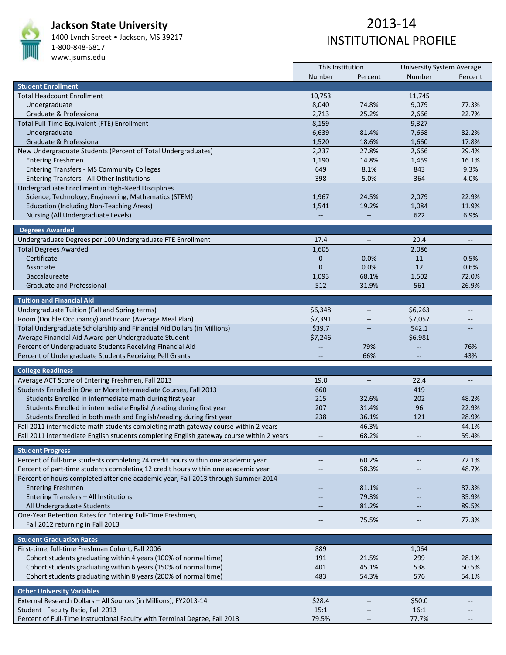

#### **Jackson State University**

1400 Lynch Street • Jackson, MS 39217 1‐800‐848‐6817

#### www.jsums.edu

|                                                                                          | This Institution         |                                                     | <b>University System Average</b> |                                   |  |
|------------------------------------------------------------------------------------------|--------------------------|-----------------------------------------------------|----------------------------------|-----------------------------------|--|
|                                                                                          | Number                   | Percent                                             | Number                           | Percent                           |  |
| <b>Student Enrollment</b>                                                                |                          |                                                     |                                  |                                   |  |
| <b>Total Headcount Enrollment</b>                                                        | 10,753                   |                                                     | 11,745                           |                                   |  |
| Undergraduate                                                                            | 8,040                    | 74.8%                                               | 9,079                            | 77.3%                             |  |
| Graduate & Professional                                                                  | 2,713                    | 25.2%                                               | 2,666                            | 22.7%                             |  |
| Total Full-Time Equivalent (FTE) Enrollment                                              | 8,159                    |                                                     | 9,327                            |                                   |  |
| Undergraduate                                                                            | 6,639                    | 81.4%                                               | 7,668                            | 82.2%                             |  |
| Graduate & Professional                                                                  | 1,520                    | 18.6%                                               | 1,660                            | 17.8%                             |  |
| New Undergraduate Students (Percent of Total Undergraduates)                             | 2,237                    | 27.8%                                               | 2,666                            | 29.4%                             |  |
| <b>Entering Freshmen</b>                                                                 | 1,190                    | 14.8%                                               | 1,459                            | 16.1%                             |  |
| <b>Entering Transfers - MS Community Colleges</b>                                        | 649                      | 8.1%                                                | 843                              | 9.3%                              |  |
| Entering Transfers - All Other Institutions                                              | 398                      | 5.0%                                                | 364                              | 4.0%                              |  |
| Undergraduate Enrollment in High-Need Disciplines                                        |                          |                                                     |                                  |                                   |  |
|                                                                                          |                          | 24.5%                                               | 2,079                            | 22.9%                             |  |
| Science, Technology, Engineering, Mathematics (STEM)                                     | 1,967                    |                                                     |                                  | 11.9%                             |  |
| <b>Education (Including Non-Teaching Areas)</b>                                          | 1,541                    | 19.2%                                               | 1,084                            |                                   |  |
| Nursing (All Undergraduate Levels)                                                       |                          |                                                     | 622                              | 6.9%                              |  |
| <b>Degrees Awarded</b>                                                                   |                          |                                                     |                                  |                                   |  |
| Undergraduate Degrees per 100 Undergraduate FTE Enrollment                               | 17.4                     | $\overline{\phantom{a}}$                            | 20.4                             | $\hspace{0.05cm} \dashrightarrow$ |  |
| <b>Total Degrees Awarded</b>                                                             | 1,605                    |                                                     | 2,086                            |                                   |  |
| Certificate                                                                              | $\mathbf 0$              | 0.0%                                                | 11                               | 0.5%                              |  |
| Associate                                                                                | $\mathbf{0}$             | 0.0%                                                | 12                               | 0.6%                              |  |
| <b>Baccalaureate</b>                                                                     | 1,093                    | 68.1%                                               | 1,502                            | 72.0%                             |  |
| <b>Graduate and Professional</b>                                                         | 512                      | 31.9%                                               | 561                              | 26.9%                             |  |
|                                                                                          |                          |                                                     |                                  |                                   |  |
| <b>Tuition and Financial Aid</b>                                                         |                          |                                                     |                                  |                                   |  |
| Undergraduate Tuition (Fall and Spring terms)                                            | \$6,348                  |                                                     | \$6,263                          | --                                |  |
| Room (Double Occupancy) and Board (Average Meal Plan)                                    | \$7,391                  |                                                     | \$7,057                          |                                   |  |
| Total Undergraduate Scholarship and Financial Aid Dollars (in Millions)                  | \$39.7                   |                                                     | \$42.1                           |                                   |  |
| Average Financial Aid Award per Undergraduate Student                                    | \$7,246                  |                                                     | \$6,981                          | $\qquad \qquad -$                 |  |
| Percent of Undergraduate Students Receiving Financial Aid                                |                          | 79%                                                 |                                  | 76%                               |  |
| Percent of Undergraduate Students Receiving Pell Grants                                  |                          | 66%                                                 |                                  | 43%                               |  |
|                                                                                          |                          |                                                     |                                  |                                   |  |
| <b>College Readiness</b>                                                                 |                          |                                                     |                                  |                                   |  |
| Average ACT Score of Entering Freshmen, Fall 2013                                        | 19.0                     | $\hspace{0.05cm} -\hspace{0.05cm} -\hspace{0.05cm}$ | 22.4                             | $\overline{\phantom{a}}$          |  |
| Students Enrolled in One or More Intermediate Courses, Fall 2013                         | 660                      |                                                     | 419                              |                                   |  |
| Students Enrolled in intermediate math during first year                                 | 215                      | 32.6%                                               | 202                              | 48.2%                             |  |
| Students Enrolled in intermediate English/reading during first year                      | 207                      | 31.4%                                               | 96                               | 22.9%                             |  |
| Students Enrolled in both math and English/reading during first year                     | 238                      | 36.1%                                               | 121                              | 28.9%                             |  |
| Fall 2011 intermediate math students completing math gateway course within 2 years       | $\overline{\phantom{m}}$ | 46.3%                                               | $\overline{\phantom{m}}$         | 44.1%                             |  |
| Fall 2011 intermediate English students completing English gateway course within 2 years |                          | 68.2%                                               |                                  | 59.4%                             |  |
|                                                                                          |                          |                                                     |                                  |                                   |  |
| <b>Student Progress</b>                                                                  |                          |                                                     |                                  |                                   |  |
| Percent of full-time students completing 24 credit hours within one academic year        | $\overline{\phantom{m}}$ | 60.2%                                               | $\overline{\phantom{m}}$         | 72.1%                             |  |
| Percent of part-time students completing 12 credit hours within one academic year        | $\qquad \qquad -$        | 58.3%                                               | $\overline{\phantom{m}}$         | 48.7%                             |  |
| Percent of hours completed after one academic year, Fall 2013 through Summer 2014        |                          |                                                     |                                  |                                   |  |
| <b>Entering Freshmen</b>                                                                 |                          | 81.1%                                               |                                  | 87.3%                             |  |
| Entering Transfers - All Institutions                                                    |                          | 79.3%                                               |                                  | 85.9%                             |  |
| All Undergraduate Students                                                               | $\qquad \qquad -$        | 81.2%                                               |                                  | 89.5%                             |  |
| One-Year Retention Rates for Entering Full-Time Freshmen,                                |                          |                                                     |                                  |                                   |  |
| Fall 2012 returning in Fall 2013                                                         | $-\,-$                   | 75.5%                                               | --                               | 77.3%                             |  |
|                                                                                          |                          |                                                     |                                  |                                   |  |
| <b>Student Graduation Rates</b>                                                          |                          |                                                     |                                  |                                   |  |
| First-time, full-time Freshman Cohort, Fall 2006                                         | 889                      |                                                     | 1,064                            |                                   |  |
| Cohort students graduating within 4 years (100% of normal time)                          | 191                      | 21.5%                                               | 299                              | 28.1%                             |  |
| Cohort students graduating within 6 years (150% of normal time)                          | 401                      | 45.1%                                               | 538                              | 50.5%                             |  |
| Cohort students graduating within 8 years (200% of normal time)                          | 483                      | 54.3%                                               | 576                              | 54.1%                             |  |
|                                                                                          |                          |                                                     |                                  |                                   |  |
| <b>Other University Variables</b>                                                        |                          |                                                     |                                  |                                   |  |
| External Research Dollars - All Sources (in Millions), FY2013-14                         | \$28.4                   |                                                     | \$50.0                           |                                   |  |
| Student - Faculty Ratio, Fall 2013                                                       | 15:1                     | $-\!$                                               | 16:1                             |                                   |  |
| Percent of Full-Time Instructional Faculty with Terminal Degree, Fall 2013               | 79.5%                    |                                                     | 77.7%                            |                                   |  |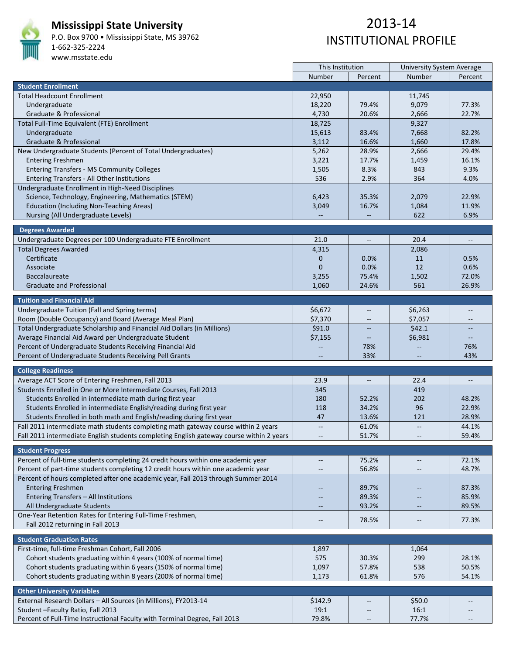

#### **Mississippi State University**

P.O. Box 9700 • Mississippi State, MS 39762 1‐662‐325‐2224 www.msstate.edu

# 2013‐14 INSTITUTIONAL PROFILE

|                                                                                          | This Institution         |                          | <b>University System Average</b> |                                   |
|------------------------------------------------------------------------------------------|--------------------------|--------------------------|----------------------------------|-----------------------------------|
|                                                                                          | Number                   | Percent                  | Number                           | Percent                           |
| <b>Student Enrollment</b>                                                                |                          |                          |                                  |                                   |
| <b>Total Headcount Enrollment</b>                                                        | 22,950                   |                          | 11,745                           |                                   |
| Undergraduate                                                                            | 18,220                   | 79.4%                    | 9,079                            | 77.3%                             |
| Graduate & Professional                                                                  | 4,730                    | 20.6%                    | 2,666                            | 22.7%                             |
| Total Full-Time Equivalent (FTE) Enrollment                                              | 18,725                   |                          | 9,327                            |                                   |
| Undergraduate                                                                            | 15,613                   | 83.4%                    | 7,668                            | 82.2%                             |
| Graduate & Professional                                                                  | 3,112                    | 16.6%                    | 1,660                            | 17.8%                             |
| New Undergraduate Students (Percent of Total Undergraduates)                             | 5,262                    | 28.9%                    | 2,666                            | 29.4%                             |
| <b>Entering Freshmen</b>                                                                 | 3,221                    | 17.7%                    | 1,459                            | 16.1%                             |
| <b>Entering Transfers - MS Community Colleges</b>                                        | 1,505                    | 8.3%                     | 843                              | 9.3%                              |
| Entering Transfers - All Other Institutions                                              | 536                      | 2.9%                     | 364                              | 4.0%                              |
| Undergraduate Enrollment in High-Need Disciplines                                        |                          |                          |                                  |                                   |
| Science, Technology, Engineering, Mathematics (STEM)                                     | 6,423                    | 35.3%                    | 2,079                            | 22.9%                             |
| <b>Education (Including Non-Teaching Areas)</b>                                          | 3,049                    | 16.7%                    | 1,084                            | 11.9%                             |
| Nursing (All Undergraduate Levels)                                                       |                          |                          | 622                              | 6.9%                              |
|                                                                                          |                          |                          |                                  |                                   |
| <b>Degrees Awarded</b>                                                                   |                          |                          |                                  |                                   |
| Undergraduate Degrees per 100 Undergraduate FTE Enrollment                               | 21.0                     | $- -$                    | 20.4                             | $\hspace{0.05cm} \dashrightarrow$ |
| <b>Total Degrees Awarded</b>                                                             | 4,315                    |                          | 2,086                            |                                   |
| Certificate                                                                              | 0                        | 0.0%                     | 11                               | 0.5%                              |
| Associate                                                                                | $\overline{0}$           | 0.0%                     | 12                               | 0.6%                              |
| <b>Baccalaureate</b>                                                                     | 3,255                    | 75.4%                    | 1,502                            | 72.0%                             |
| <b>Graduate and Professional</b>                                                         | 1,060                    | 24.6%                    | 561                              | 26.9%                             |
|                                                                                          |                          |                          |                                  |                                   |
| <b>Tuition and Financial Aid</b>                                                         |                          |                          |                                  |                                   |
| Undergraduate Tuition (Fall and Spring terms)                                            | \$6,672                  |                          | \$6,263                          | --                                |
| Room (Double Occupancy) and Board (Average Meal Plan)                                    | \$7,370                  |                          | \$7,057                          |                                   |
| Total Undergraduate Scholarship and Financial Aid Dollars (in Millions)                  | \$91.0                   |                          | \$42.1                           |                                   |
| Average Financial Aid Award per Undergraduate Student                                    | \$7,155                  |                          | \$6,981                          | $\qquad \qquad -$                 |
| Percent of Undergraduate Students Receiving Financial Aid                                |                          | 78%                      |                                  | 76%                               |
| Percent of Undergraduate Students Receiving Pell Grants                                  |                          | 33%                      |                                  | 43%                               |
|                                                                                          |                          |                          |                                  |                                   |
| <b>College Readiness</b>                                                                 |                          |                          |                                  |                                   |
| Average ACT Score of Entering Freshmen, Fall 2013                                        | 23.9                     | $\overline{\phantom{a}}$ | 22.4                             | $\overline{\phantom{a}}$          |
| Students Enrolled in One or More Intermediate Courses, Fall 2013                         | 345                      |                          | 419                              |                                   |
| Students Enrolled in intermediate math during first year                                 | 180                      | 52.2%                    | 202                              | 48.2%                             |
| Students Enrolled in intermediate English/reading during first year                      | 118                      | 34.2%                    | 96                               | 22.9%                             |
| Students Enrolled in both math and English/reading during first year                     | 47                       | 13.6%                    | 121                              | 28.9%                             |
| Fall 2011 intermediate math students completing math gateway course within 2 years       | $\overline{\phantom{m}}$ | 61.0%                    |                                  | 44.1%                             |
| Fall 2011 intermediate English students completing English gateway course within 2 years |                          | 51.7%                    |                                  | 59.4%                             |
|                                                                                          |                          |                          |                                  |                                   |
| <b>Student Progress</b>                                                                  |                          |                          |                                  |                                   |
| Percent of full-time students completing 24 credit hours within one academic year        | $\overline{\phantom{a}}$ | 75.2%                    | $\overline{\phantom{m}}$         | 72.1%                             |
| Percent of part-time students completing 12 credit hours within one academic year        | $\overline{\phantom{a}}$ | 56.8%                    | $\overline{\phantom{m}}$         | 48.7%                             |
| Percent of hours completed after one academic year, Fall 2013 through Summer 2014        |                          |                          |                                  |                                   |
| <b>Entering Freshmen</b>                                                                 |                          | 89.7%                    |                                  | 87.3%                             |
| Entering Transfers - All Institutions                                                    |                          | 89.3%                    |                                  | 85.9%                             |
| All Undergraduate Students                                                               | $\overline{\phantom{a}}$ | 93.2%                    |                                  | 89.5%                             |
| One-Year Retention Rates for Entering Full-Time Freshmen,                                | $\overline{\phantom{m}}$ | 78.5%                    | $\qquad \qquad -$                | 77.3%                             |
| Fall 2012 returning in Fall 2013                                                         |                          |                          |                                  |                                   |
|                                                                                          |                          |                          |                                  |                                   |
| <b>Student Graduation Rates</b>                                                          |                          |                          |                                  |                                   |
| First-time, full-time Freshman Cohort, Fall 2006                                         | 1,897                    |                          | 1,064                            |                                   |
| Cohort students graduating within 4 years (100% of normal time)                          | 575                      | 30.3%                    | 299                              | 28.1%                             |
| Cohort students graduating within 6 years (150% of normal time)                          | 1,097                    | 57.8%                    | 538                              | 50.5%                             |
| Cohort students graduating within 8 years (200% of normal time)                          | 1,173                    | 61.8%                    | 576                              | 54.1%                             |
| <b>Other University Variables</b>                                                        |                          |                          |                                  |                                   |
| External Research Dollars - All Sources (in Millions), FY2013-14                         | \$142.9                  |                          | \$50.0                           |                                   |
| Student-Faculty Ratio, Fall 2013                                                         | 19:1                     |                          | 16:1                             |                                   |
|                                                                                          |                          | $-\!$                    |                                  |                                   |
| Percent of Full-Time Instructional Faculty with Terminal Degree, Fall 2013               | 79.8%                    | $\overline{\phantom{a}}$ | 77.7%                            |                                   |

 $\mathbf{r}$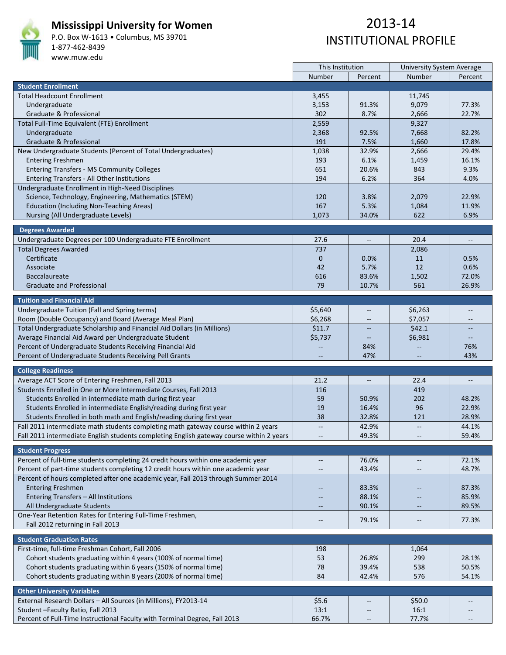

#### **Mississippi University for Women**

P.O. Box W‐1613 • Columbus, MS 39701 1‐877‐462‐8439 www.muw.edu

|                                                                                          | This Institution         |                          | <b>University System Average</b> |                                   |  |
|------------------------------------------------------------------------------------------|--------------------------|--------------------------|----------------------------------|-----------------------------------|--|
|                                                                                          | Number                   | Percent                  | Number                           | Percent                           |  |
| <b>Student Enrollment</b>                                                                |                          |                          |                                  |                                   |  |
| <b>Total Headcount Enrollment</b>                                                        | 3,455                    |                          | 11,745                           |                                   |  |
| Undergraduate                                                                            | 3,153                    | 91.3%                    | 9,079                            | 77.3%                             |  |
| Graduate & Professional                                                                  | 302                      | 8.7%                     | 2,666                            | 22.7%                             |  |
| Total Full-Time Equivalent (FTE) Enrollment                                              | 2,559                    |                          | 9,327                            |                                   |  |
| Undergraduate                                                                            | 2,368                    | 92.5%                    | 7,668                            | 82.2%                             |  |
| Graduate & Professional                                                                  | 191                      | 7.5%                     | 1,660                            | 17.8%                             |  |
| New Undergraduate Students (Percent of Total Undergraduates)                             | 1,038                    | 32.9%                    | 2,666                            | 29.4%                             |  |
| <b>Entering Freshmen</b>                                                                 | 193                      | 6.1%                     | 1,459                            | 16.1%                             |  |
| <b>Entering Transfers - MS Community Colleges</b>                                        | 651                      | 20.6%                    | 843                              | 9.3%                              |  |
| Entering Transfers - All Other Institutions                                              | 194                      | 6.2%                     | 364                              | 4.0%                              |  |
| Undergraduate Enrollment in High-Need Disciplines                                        |                          |                          |                                  |                                   |  |
| Science, Technology, Engineering, Mathematics (STEM)                                     | 120                      | 3.8%                     | 2,079                            | 22.9%                             |  |
| <b>Education (Including Non-Teaching Areas)</b>                                          | 167                      | 5.3%                     | 1,084                            | 11.9%                             |  |
|                                                                                          | 1,073                    | 34.0%                    | 622                              | 6.9%                              |  |
| Nursing (All Undergraduate Levels)                                                       |                          |                          |                                  |                                   |  |
| <b>Degrees Awarded</b>                                                                   |                          |                          |                                  |                                   |  |
| Undergraduate Degrees per 100 Undergraduate FTE Enrollment                               | 27.6                     | $- -$                    | 20.4                             | $\hspace{0.05cm} \dashrightarrow$ |  |
| <b>Total Degrees Awarded</b>                                                             | 737                      |                          | 2,086                            |                                   |  |
| Certificate                                                                              | $\mathbf{0}$             | 0.0%                     | 11                               | 0.5%                              |  |
| Associate                                                                                | 42                       | 5.7%                     | 12                               | 0.6%                              |  |
| <b>Baccalaureate</b>                                                                     | 616                      | 83.6%                    | 1,502                            | 72.0%                             |  |
| <b>Graduate and Professional</b>                                                         | 79                       | 10.7%                    | 561                              | 26.9%                             |  |
|                                                                                          |                          |                          |                                  |                                   |  |
| <b>Tuition and Financial Aid</b>                                                         |                          |                          |                                  |                                   |  |
| Undergraduate Tuition (Fall and Spring terms)                                            | \$5,640                  |                          | \$6,263                          | --                                |  |
| Room (Double Occupancy) and Board (Average Meal Plan)                                    | \$6,268                  |                          | \$7,057                          |                                   |  |
| Total Undergraduate Scholarship and Financial Aid Dollars (in Millions)                  | \$11.7                   |                          | \$42.1                           |                                   |  |
| Average Financial Aid Award per Undergraduate Student                                    | \$5,737                  |                          | \$6,981                          | $\qquad \qquad -$                 |  |
| Percent of Undergraduate Students Receiving Financial Aid                                |                          | 84%                      |                                  | 76%                               |  |
| Percent of Undergraduate Students Receiving Pell Grants                                  |                          | 47%                      |                                  | 43%                               |  |
|                                                                                          |                          |                          |                                  |                                   |  |
| <b>College Readiness</b>                                                                 |                          |                          |                                  |                                   |  |
| Average ACT Score of Entering Freshmen, Fall 2013                                        | 21.2                     | $\overline{\phantom{m}}$ | 22.4                             | $\overline{\phantom{a}}$          |  |
| Students Enrolled in One or More Intermediate Courses, Fall 2013                         | 116                      |                          | 419                              |                                   |  |
| Students Enrolled in intermediate math during first year                                 | 59                       | 50.9%                    | 202                              | 48.2%                             |  |
| Students Enrolled in intermediate English/reading during first year                      | 19                       | 16.4%                    | 96                               | 22.9%                             |  |
| Students Enrolled in both math and English/reading during first year                     | 38                       | 32.8%                    | 121                              | 28.9%                             |  |
| Fall 2011 intermediate math students completing math gateway course within 2 years       | $\overline{\phantom{m}}$ | 42.9%                    |                                  | 44.1%                             |  |
| Fall 2011 intermediate English students completing English gateway course within 2 years |                          | 49.3%                    |                                  | 59.4%                             |  |
|                                                                                          |                          |                          |                                  |                                   |  |
| <b>Student Progress</b>                                                                  |                          |                          |                                  |                                   |  |
| Percent of full-time students completing 24 credit hours within one academic year        | $\overline{\phantom{a}}$ | 76.0%                    | $\overline{\phantom{m}}$         | 72.1%                             |  |
| Percent of part-time students completing 12 credit hours within one academic year        | $\overline{\phantom{a}}$ | 43.4%                    | $\overline{\phantom{m}}$         | 48.7%                             |  |
| Percent of hours completed after one academic year, Fall 2013 through Summer 2014        |                          |                          |                                  |                                   |  |
| <b>Entering Freshmen</b>                                                                 |                          | 83.3%                    |                                  | 87.3%                             |  |
| Entering Transfers - All Institutions                                                    |                          | 88.1%                    |                                  | 85.9%                             |  |
| All Undergraduate Students                                                               | $\overline{\phantom{a}}$ | 90.1%                    |                                  | 89.5%                             |  |
| One-Year Retention Rates for Entering Full-Time Freshmen,                                |                          |                          |                                  |                                   |  |
| Fall 2012 returning in Fall 2013                                                         | $\overline{\phantom{m}}$ | 79.1%                    | $\qquad \qquad -$                | 77.3%                             |  |
|                                                                                          |                          |                          |                                  |                                   |  |
| <b>Student Graduation Rates</b>                                                          |                          |                          |                                  |                                   |  |
| First-time, full-time Freshman Cohort, Fall 2006                                         | 198                      |                          | 1,064                            |                                   |  |
| Cohort students graduating within 4 years (100% of normal time)                          | 53                       | 26.8%                    | 299                              | 28.1%                             |  |
| Cohort students graduating within 6 years (150% of normal time)                          | 78                       | 39.4%                    | 538                              | 50.5%                             |  |
| Cohort students graduating within 8 years (200% of normal time)                          | 84                       | 42.4%                    | 576                              | 54.1%                             |  |
| <b>Other University Variables</b>                                                        |                          |                          |                                  |                                   |  |
|                                                                                          |                          |                          |                                  |                                   |  |
| External Research Dollars - All Sources (in Millions), FY2013-14                         | \$5.6                    |                          | \$50.0                           |                                   |  |
| Student-Faculty Ratio, Fall 2013                                                         | 13:1                     | $-\!$                    | 16:1                             |                                   |  |
| Percent of Full-Time Instructional Faculty with Terminal Degree, Fall 2013               | 66.7%                    | $\overline{\phantom{a}}$ | 77.7%                            |                                   |  |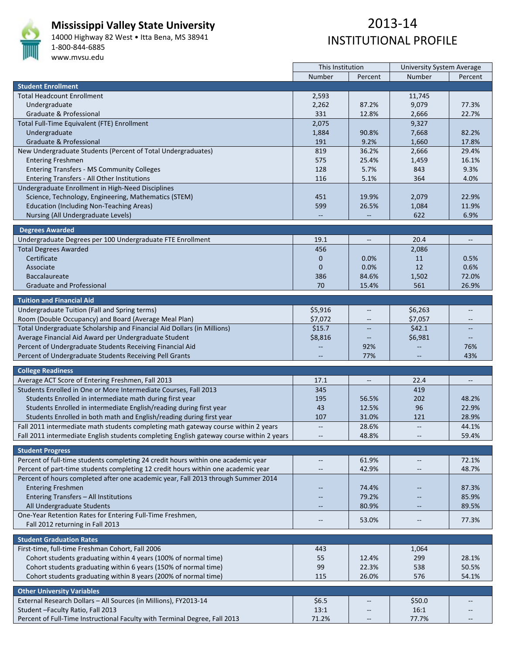

#### **Mississippi Valley State University**

14000 Highway 82 West • Itta Bena, MS 38941 1‐800‐844‐6885 www.mvsu.edu

|                                                                                          | This Institution         |                          | <b>University System Average</b> |                          |
|------------------------------------------------------------------------------------------|--------------------------|--------------------------|----------------------------------|--------------------------|
|                                                                                          | Number                   | Percent                  | Number                           | Percent                  |
| <b>Student Enrollment</b>                                                                |                          |                          |                                  |                          |
| <b>Total Headcount Enrollment</b>                                                        | 2,593                    |                          | 11,745                           |                          |
| Undergraduate                                                                            | 2,262                    | 87.2%                    | 9,079                            | 77.3%                    |
| Graduate & Professional                                                                  | 331                      | 12.8%                    | 2,666                            | 22.7%                    |
| Total Full-Time Equivalent (FTE) Enrollment                                              | 2,075                    |                          | 9,327                            |                          |
| Undergraduate                                                                            | 1,884                    | 90.8%                    | 7,668                            | 82.2%                    |
| Graduate & Professional                                                                  | 191                      | 9.2%                     | 1,660                            | 17.8%                    |
| New Undergraduate Students (Percent of Total Undergraduates)                             | 819                      | 36.2%                    | 2,666                            | 29.4%                    |
| <b>Entering Freshmen</b>                                                                 | 575                      | 25.4%                    | 1,459                            | 16.1%                    |
| <b>Entering Transfers - MS Community Colleges</b>                                        | 128                      | 5.7%                     | 843                              | 9.3%                     |
| Entering Transfers - All Other Institutions                                              | 116                      | 5.1%                     | 364                              | 4.0%                     |
|                                                                                          |                          |                          |                                  |                          |
| Undergraduate Enrollment in High-Need Disciplines                                        |                          |                          |                                  | 22.9%                    |
| Science, Technology, Engineering, Mathematics (STEM)                                     | 451                      | 19.9%                    | 2,079                            |                          |
| <b>Education (Including Non-Teaching Areas)</b>                                          | 599                      | 26.5%                    | 1,084                            | 11.9%                    |
| Nursing (All Undergraduate Levels)                                                       |                          |                          | 622                              | 6.9%                     |
| <b>Degrees Awarded</b>                                                                   |                          |                          |                                  |                          |
| Undergraduate Degrees per 100 Undergraduate FTE Enrollment                               | 19.1                     | $\qquad \qquad \cdots$   | 20.4                             | $\overline{\phantom{a}}$ |
| <b>Total Degrees Awarded</b>                                                             | 456                      |                          | 2,086                            |                          |
| Certificate                                                                              | $\mathbf 0$              |                          | 11                               | 0.5%                     |
|                                                                                          |                          | $0.0\%$<br>0.0%          | 12                               | 0.6%                     |
| Associate                                                                                | $\mathbf{0}$             |                          |                                  |                          |
| <b>Baccalaureate</b>                                                                     | 386                      | 84.6%                    | 1,502                            | 72.0%                    |
| <b>Graduate and Professional</b>                                                         | 70                       | 15.4%                    | 561                              | 26.9%                    |
| <b>Tuition and Financial Aid</b>                                                         |                          |                          |                                  |                          |
| Undergraduate Tuition (Fall and Spring terms)                                            | \$5,916                  | $\overline{\phantom{m}}$ | \$6,263                          |                          |
| Room (Double Occupancy) and Board (Average Meal Plan)                                    | \$7,072                  |                          | \$7,057                          |                          |
| Total Undergraduate Scholarship and Financial Aid Dollars (in Millions)                  | \$15.7                   |                          | \$42.1                           |                          |
| Average Financial Aid Award per Undergraduate Student                                    | \$8,816                  |                          | \$6,981                          |                          |
| Percent of Undergraduate Students Receiving Financial Aid                                |                          | $\qquad \qquad -$<br>92% |                                  | 76%                      |
|                                                                                          |                          | 77%                      |                                  | 43%                      |
| Percent of Undergraduate Students Receiving Pell Grants                                  |                          |                          |                                  |                          |
| <b>College Readiness</b>                                                                 |                          |                          |                                  |                          |
| Average ACT Score of Entering Freshmen, Fall 2013                                        | 17.1                     | $\overline{\phantom{m}}$ | 22.4                             | $\overline{\phantom{a}}$ |
| Students Enrolled in One or More Intermediate Courses, Fall 2013                         | 345                      |                          | 419                              |                          |
| Students Enrolled in intermediate math during first year                                 | 195                      | 56.5%                    | 202                              | 48.2%                    |
| Students Enrolled in intermediate English/reading during first year                      | 43                       | 12.5%                    | 96                               | 22.9%                    |
| Students Enrolled in both math and English/reading during first year                     | 107                      | 31.0%                    | 121                              | 28.9%                    |
| Fall 2011 intermediate math students completing math gateway course within 2 years       | $\overline{\phantom{a}}$ | 28.6%                    | $\overline{\phantom{a}}$         | 44.1%                    |
| Fall 2011 intermediate English students completing English gateway course within 2 years |                          | 48.8%                    |                                  | 59.4%                    |
|                                                                                          |                          |                          |                                  |                          |
| <b>Student Progress</b>                                                                  |                          |                          |                                  |                          |
| Percent of full-time students completing 24 credit hours within one academic year        | $\overline{\phantom{m}}$ | 61.9%                    | $\overline{\phantom{m}}$         | 72.1%                    |
| Percent of part-time students completing 12 credit hours within one academic year        | $\qquad \qquad -$        | 42.9%                    | $\overline{\phantom{m}}$         | 48.7%                    |
| Percent of hours completed after one academic year, Fall 2013 through Summer 2014        |                          |                          |                                  |                          |
| <b>Entering Freshmen</b>                                                                 |                          | 74.4%                    |                                  | 87.3%                    |
| Entering Transfers - All Institutions                                                    |                          | 79.2%                    |                                  | 85.9%                    |
| All Undergraduate Students                                                               | $\qquad \qquad -$        | 80.9%                    | $\qquad \qquad -$                | 89.5%                    |
| One-Year Retention Rates for Entering Full-Time Freshmen,                                |                          |                          |                                  |                          |
| Fall 2012 returning in Fall 2013                                                         | $\overline{\phantom{m}}$ | 53.0%                    | $-\!$ –                          | 77.3%                    |
|                                                                                          |                          |                          |                                  |                          |
| <b>Student Graduation Rates</b>                                                          |                          |                          |                                  |                          |
| First-time, full-time Freshman Cohort, Fall 2006                                         | 443                      |                          | 1,064                            |                          |
| Cohort students graduating within 4 years (100% of normal time)                          | 55                       | 12.4%                    | 299                              | 28.1%                    |
| Cohort students graduating within 6 years (150% of normal time)                          | 99                       | 22.3%                    | 538                              | 50.5%                    |
| Cohort students graduating within 8 years (200% of normal time)                          | 115                      | 26.0%                    | 576                              | 54.1%                    |
|                                                                                          |                          |                          |                                  |                          |
| <b>Other University Variables</b>                                                        |                          |                          |                                  |                          |
| External Research Dollars - All Sources (in Millions), FY2013-14                         | \$6.5                    |                          | \$50.0                           |                          |
| Student-Faculty Ratio, Fall 2013                                                         | 13:1                     |                          | 16:1                             |                          |
| Percent of Full-Time Instructional Faculty with Terminal Degree, Fall 2013               | 71.2%                    |                          | 77.7%                            |                          |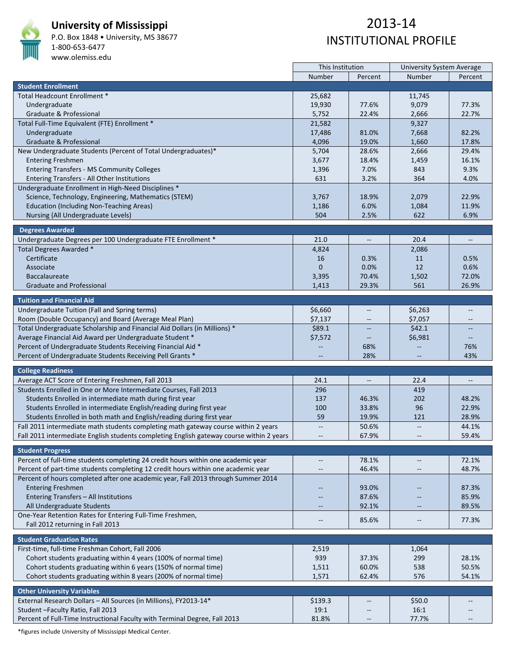

#### **University of Mississippi**

P.O. Box 1848 • University, MS 38677 1‐800‐653‐6477

#### www.olemiss.edu

## 2013‐14 INSTITUTIONAL PROFILE

|                                                                                                                                                                        | This Institution         |                                                     | <b>University System Average</b> |                                   |
|------------------------------------------------------------------------------------------------------------------------------------------------------------------------|--------------------------|-----------------------------------------------------|----------------------------------|-----------------------------------|
|                                                                                                                                                                        | Number                   | Percent                                             | Number                           | Percent                           |
| <b>Student Enrollment</b>                                                                                                                                              |                          |                                                     |                                  |                                   |
| Total Headcount Enrollment *                                                                                                                                           | 25,682                   |                                                     | 11,745                           |                                   |
| Undergraduate                                                                                                                                                          | 19,930                   | 77.6%                                               | 9,079                            | 77.3%                             |
| Graduate & Professional                                                                                                                                                | 5,752                    | 22.4%                                               | 2,666                            | 22.7%                             |
| Total Full-Time Equivalent (FTE) Enrollment *                                                                                                                          | 21,582                   |                                                     | 9,327                            |                                   |
| Undergraduate                                                                                                                                                          | 17,486                   | 81.0%                                               | 7,668                            | 82.2%                             |
| Graduate & Professional                                                                                                                                                | 4,096                    | 19.0%                                               | 1,660                            | 17.8%                             |
| New Undergraduate Students (Percent of Total Undergraduates)*                                                                                                          | 5,704                    | 28.6%                                               | 2,666                            | 29.4%                             |
| <b>Entering Freshmen</b>                                                                                                                                               | 3,677                    | 18.4%                                               | 1,459                            | 16.1%                             |
| <b>Entering Transfers - MS Community Colleges</b>                                                                                                                      | 1,396                    | 7.0%                                                | 843                              | 9.3%                              |
| Entering Transfers - All Other Institutions                                                                                                                            | 631                      | 3.2%                                                | 364                              | 4.0%                              |
| Undergraduate Enrollment in High-Need Disciplines *                                                                                                                    |                          |                                                     |                                  |                                   |
| Science, Technology, Engineering, Mathematics (STEM)                                                                                                                   | 3,767                    | 18.9%                                               | 2,079                            | 22.9%                             |
| <b>Education (Including Non-Teaching Areas)</b>                                                                                                                        | 1,186                    | 6.0%                                                | 1,084                            | 11.9%                             |
| Nursing (All Undergraduate Levels)                                                                                                                                     | 504                      | 2.5%                                                | 622                              | 6.9%                              |
|                                                                                                                                                                        |                          |                                                     |                                  |                                   |
| <b>Degrees Awarded</b>                                                                                                                                                 |                          |                                                     |                                  |                                   |
| Undergraduate Degrees per 100 Undergraduate FTE Enrollment *                                                                                                           | 21.0                     | $- -$                                               | 20.4                             | $\hspace{0.05cm} \dashrightarrow$ |
| Total Degrees Awarded *                                                                                                                                                | 4,824                    |                                                     | 2,086                            |                                   |
| Certificate                                                                                                                                                            | 16                       | 0.3%                                                | 11                               | 0.5%                              |
| Associate                                                                                                                                                              | $\mathbf{0}$             | 0.0%                                                | 12                               | 0.6%                              |
| <b>Baccalaureate</b>                                                                                                                                                   | 3,395                    | 70.4%                                               | 1,502                            | 72.0%                             |
| <b>Graduate and Professional</b>                                                                                                                                       | 1,413                    | 29.3%                                               | 561                              | 26.9%                             |
| <b>Tuition and Financial Aid</b>                                                                                                                                       |                          |                                                     |                                  |                                   |
| Undergraduate Tuition (Fall and Spring terms)                                                                                                                          | \$6,660                  |                                                     | \$6,263                          | --                                |
| Room (Double Occupancy) and Board (Average Meal Plan)                                                                                                                  | \$7,137                  |                                                     | \$7,057                          |                                   |
| Total Undergraduate Scholarship and Financial Aid Dollars (in Millions) *                                                                                              | \$89.1                   |                                                     | \$42.1                           |                                   |
| Average Financial Aid Award per Undergraduate Student *                                                                                                                | \$7,572                  |                                                     | \$6,981                          | $\qquad \qquad -$                 |
| Percent of Undergraduate Students Receiving Financial Aid *                                                                                                            |                          | 68%                                                 |                                  | 76%                               |
| Percent of Undergraduate Students Receiving Pell Grants *                                                                                                              |                          | 28%                                                 |                                  | 43%                               |
|                                                                                                                                                                        |                          |                                                     |                                  |                                   |
| <b>College Readiness</b>                                                                                                                                               |                          |                                                     |                                  |                                   |
| Average ACT Score of Entering Freshmen, Fall 2013                                                                                                                      | 24.1                     | $\hspace{0.05cm} -\hspace{0.05cm} -\hspace{0.05cm}$ | 22.4                             | $\overline{\phantom{a}}$          |
| Students Enrolled in One or More Intermediate Courses, Fall 2013                                                                                                       | 296                      |                                                     | 419                              |                                   |
| Students Enrolled in intermediate math during first year                                                                                                               | 137                      | 46.3%                                               | 202                              | 48.2%                             |
| Students Enrolled in intermediate English/reading during first year                                                                                                    | 100                      | 33.8%                                               | 96                               | 22.9%                             |
| Students Enrolled in both math and English/reading during first year                                                                                                   | 59                       | 19.9%                                               | 121                              | 28.9%                             |
| Fall 2011 intermediate math students completing math gateway course within 2 years                                                                                     | $\overline{\phantom{m}}$ | 50.6%                                               | $\overline{\phantom{m}}$         | 44.1%                             |
| Fall 2011 intermediate English students completing English gateway course within 2 years                                                                               |                          | 67.9%                                               |                                  | 59.4%                             |
|                                                                                                                                                                        |                          |                                                     |                                  |                                   |
| <b>Student Progress</b>                                                                                                                                                |                          |                                                     |                                  |                                   |
| Percent of full-time students completing 24 credit hours within one academic year<br>Percent of part-time students completing 12 credit hours within one academic year | $\overline{\phantom{m}}$ | 78.1%                                               | $\overline{\phantom{m}}$         | 72.1%                             |
|                                                                                                                                                                        | $\qquad \qquad -$        | 46.4%                                               | $\overline{\phantom{m}}$         | 48.7%                             |
| Percent of hours completed after one academic year, Fall 2013 through Summer 2014                                                                                      |                          |                                                     |                                  |                                   |
| <b>Entering Freshmen</b>                                                                                                                                               |                          | 93.0%                                               |                                  | 87.3%                             |
| Entering Transfers - All Institutions                                                                                                                                  |                          | 87.6%                                               |                                  | 85.9%                             |
| All Undergraduate Students                                                                                                                                             | $\qquad \qquad -$        | 92.1%                                               |                                  | 89.5%                             |
| One-Year Retention Rates for Entering Full-Time Freshmen,                                                                                                              | $-\,-$                   | 85.6%                                               | --                               | 77.3%                             |
| Fall 2012 returning in Fall 2013                                                                                                                                       |                          |                                                     |                                  |                                   |
| <b>Student Graduation Rates</b>                                                                                                                                        |                          |                                                     |                                  |                                   |
| First-time, full-time Freshman Cohort, Fall 2006                                                                                                                       | 2,519                    |                                                     | 1,064                            |                                   |
| Cohort students graduating within 4 years (100% of normal time)                                                                                                        | 939                      | 37.3%                                               | 299                              | 28.1%                             |
| Cohort students graduating within 6 years (150% of normal time)                                                                                                        | 1,511                    | 60.0%                                               | 538                              | 50.5%                             |
| Cohort students graduating within 8 years (200% of normal time)                                                                                                        | 1,571                    | 62.4%                                               | 576                              | 54.1%                             |
|                                                                                                                                                                        |                          |                                                     |                                  |                                   |
| <b>Other University Variables</b>                                                                                                                                      |                          |                                                     |                                  |                                   |
| External Research Dollars - All Sources (in Millions), FY2013-14*                                                                                                      | \$139.3                  |                                                     | \$50.0                           |                                   |
| Student - Faculty Ratio, Fall 2013                                                                                                                                     | 19:1                     |                                                     | 16:1                             |                                   |
| Percent of Full-Time Instructional Faculty with Terminal Degree, Fall 2013                                                                                             | 81.8%                    |                                                     | 77.7%                            |                                   |

\*figures include University of Mississippi Medical Center.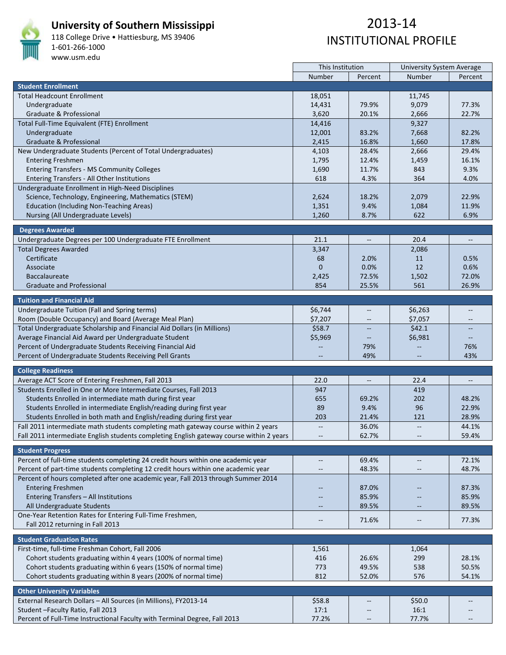

#### **University of Southern Mississippi**

118 College Drive • Hattiesburg, MS 39406 1‐601‐266‐1000 www.usm.edu

## 2013‐14 INSTITUTIONAL PROFILE

|                                                                                          | This Institution         |                          | <b>University System Average</b> |                          |
|------------------------------------------------------------------------------------------|--------------------------|--------------------------|----------------------------------|--------------------------|
|                                                                                          | Number                   | Percent                  | Number                           | Percent                  |
| <b>Student Enrollment</b>                                                                |                          |                          |                                  |                          |
| <b>Total Headcount Enrollment</b>                                                        | 18,051                   |                          | 11,745                           |                          |
| Undergraduate                                                                            | 14,431                   | 79.9%                    | 9,079                            | 77.3%                    |
| Graduate & Professional                                                                  | 3,620                    | 20.1%                    | 2,666                            | 22.7%                    |
| Total Full-Time Equivalent (FTE) Enrollment                                              | 14,416                   |                          | 9,327                            |                          |
| Undergraduate                                                                            | 12,001                   | 83.2%                    | 7,668                            | 82.2%                    |
| Graduate & Professional                                                                  | 2,415                    | 16.8%                    | 1,660                            | 17.8%                    |
| New Undergraduate Students (Percent of Total Undergraduates)                             | 4,103                    | 28.4%                    | 2,666                            | 29.4%                    |
| <b>Entering Freshmen</b>                                                                 | 1,795                    | 12.4%                    | 1,459                            | 16.1%                    |
| <b>Entering Transfers - MS Community Colleges</b>                                        | 1,690                    | 11.7%                    | 843                              | 9.3%                     |
| Entering Transfers - All Other Institutions                                              | 618                      | 4.3%                     | 364                              | 4.0%                     |
| Undergraduate Enrollment in High-Need Disciplines                                        |                          |                          |                                  |                          |
| Science, Technology, Engineering, Mathematics (STEM)                                     | 2,624                    | 18.2%                    | 2,079                            | 22.9%                    |
| <b>Education (Including Non-Teaching Areas)</b>                                          | 1,351                    | 9.4%                     | 1,084                            | 11.9%                    |
| Nursing (All Undergraduate Levels)                                                       | 1,260                    | 8.7%                     | 622                              | 6.9%                     |
|                                                                                          |                          |                          |                                  |                          |
| <b>Degrees Awarded</b>                                                                   |                          |                          |                                  |                          |
| Undergraduate Degrees per 100 Undergraduate FTE Enrollment                               | 21.1                     | $\qquad \qquad \cdots$   | 20.4                             | $\overline{\phantom{a}}$ |
| <b>Total Degrees Awarded</b>                                                             | 3,347                    |                          | 2,086                            |                          |
| Certificate                                                                              | 68                       | 2.0%                     | 11                               | 0.5%                     |
| Associate                                                                                | $\mathbf{0}$             | 0.0%                     | 12                               | 0.6%                     |
| <b>Baccalaureate</b>                                                                     | 2,425                    | 72.5%                    | 1,502                            | 72.0%                    |
| <b>Graduate and Professional</b>                                                         | 854                      | 25.5%                    | 561                              | 26.9%                    |
|                                                                                          |                          |                          |                                  |                          |
| <b>Tuition and Financial Aid</b>                                                         |                          |                          |                                  |                          |
| Undergraduate Tuition (Fall and Spring terms)                                            | \$6,744                  | $\overline{\phantom{m}}$ | \$6,263                          |                          |
| Room (Double Occupancy) and Board (Average Meal Plan)                                    | \$7,207                  |                          | \$7,057                          |                          |
| Total Undergraduate Scholarship and Financial Aid Dollars (in Millions)                  | \$58.7                   |                          | \$42.1                           |                          |
| Average Financial Aid Award per Undergraduate Student                                    | \$5,969                  | $\qquad \qquad -$        | \$6,981                          |                          |
| Percent of Undergraduate Students Receiving Financial Aid                                |                          | 79%                      |                                  | 76%                      |
| Percent of Undergraduate Students Receiving Pell Grants                                  |                          | 49%                      |                                  | 43%                      |
|                                                                                          |                          |                          |                                  |                          |
| <b>College Readiness</b>                                                                 |                          |                          |                                  |                          |
| Average ACT Score of Entering Freshmen, Fall 2013                                        | 22.0                     | $\overline{\phantom{a}}$ | 22.4                             | $\overline{\phantom{a}}$ |
| Students Enrolled in One or More Intermediate Courses, Fall 2013                         | 947                      |                          | 419                              |                          |
| Students Enrolled in intermediate math during first year                                 | 655                      | 69.2%                    | 202                              | 48.2%                    |
| Students Enrolled in intermediate English/reading during first year                      | 89                       | 9.4%                     | 96                               | 22.9%                    |
| Students Enrolled in both math and English/reading during first year                     | 203                      | 21.4%                    | 121                              | 28.9%                    |
| Fall 2011 intermediate math students completing math gateway course within 2 years       | $\overline{\phantom{a}}$ | 36.0%                    | $\overline{\phantom{a}}$         | 44.1%                    |
| Fall 2011 intermediate English students completing English gateway course within 2 years |                          | 62.7%                    |                                  | 59.4%                    |
|                                                                                          |                          |                          |                                  |                          |
| <b>Student Progress</b>                                                                  |                          |                          |                                  |                          |
| Percent of full-time students completing 24 credit hours within one academic year        | $\overline{\phantom{a}}$ | 69.4%                    | $\overline{\phantom{m}}$         | 72.1%                    |
| Percent of part-time students completing 12 credit hours within one academic year        | $\qquad \qquad -$        | 48.3%                    | $\overline{\phantom{m}}$         | 48.7%                    |
| Percent of hours completed after one academic year, Fall 2013 through Summer 2014        |                          |                          |                                  |                          |
| <b>Entering Freshmen</b>                                                                 |                          | 87.0%                    |                                  | 87.3%                    |
| Entering Transfers - All Institutions                                                    |                          | 85.9%                    |                                  | 85.9%                    |
| All Undergraduate Students                                                               | $\qquad \qquad -$        | 89.5%                    | $\qquad \qquad -$                | 89.5%                    |
| One-Year Retention Rates for Entering Full-Time Freshmen,                                | $\overline{\phantom{m}}$ | 71.6%                    | $-\!$                            | 77.3%                    |
| Fall 2012 returning in Fall 2013                                                         |                          |                          |                                  |                          |
|                                                                                          |                          |                          |                                  |                          |
| <b>Student Graduation Rates</b>                                                          |                          |                          |                                  |                          |
| First-time, full-time Freshman Cohort, Fall 2006                                         | 1,561                    |                          | 1,064                            |                          |
| Cohort students graduating within 4 years (100% of normal time)                          | 416                      | 26.6%                    | 299                              | 28.1%                    |
| Cohort students graduating within 6 years (150% of normal time)                          | 773                      | 49.5%                    | 538                              | 50.5%                    |
| Cohort students graduating within 8 years (200% of normal time)                          | 812                      | 52.0%                    | 576                              | 54.1%                    |
| <b>Other University Variables</b>                                                        |                          |                          |                                  |                          |
| External Research Dollars - All Sources (in Millions), FY2013-14                         | \$58.8                   |                          | \$50.0                           |                          |
| Student-Faculty Ratio, Fall 2013                                                         | 17:1                     |                          | 16:1                             |                          |
| Percent of Full-Time Instructional Faculty with Terminal Degree, Fall 2013               | 77.2%                    |                          | 77.7%                            |                          |
|                                                                                          |                          |                          |                                  |                          |

 $\mathbf{r}$